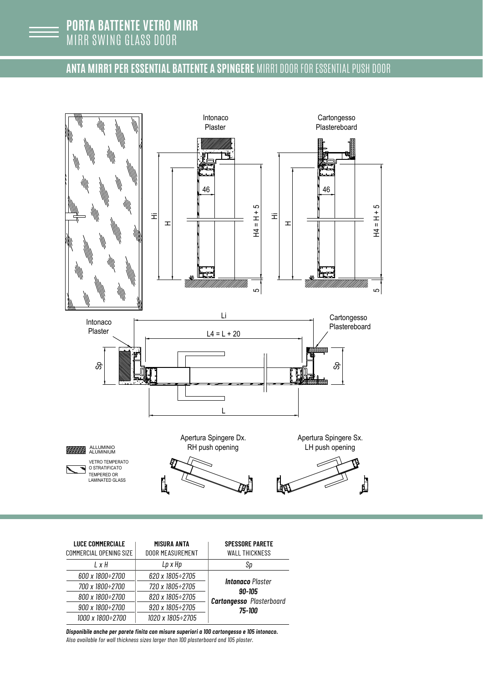

## **ANTA MIRR1 PER ESSENTIAL BATTENTE A SPINGERE** MIRR1 DOOR FOR ESSENTIAL PUSH DOOR



| <b>LUCE COMMERCIALE</b> | MISURA ANTA             | <b>SPESSORE PARETE</b>                                                         |
|-------------------------|-------------------------|--------------------------------------------------------------------------------|
| COMMERCIAL OPENING SIZE | <b>DOOR MEASUREMENT</b> | <b>WALL THICKNESS</b>                                                          |
| $1 \times H$            | Lp x Hp                 | Sp                                                                             |
| 600 x 1800÷2700         | 620 x 1805÷2705         |                                                                                |
| 700 x 1800÷2700         | 720 x 1805÷2705         | <b>Intonaco</b> Plaster<br>90-105<br><b>Cartongesso</b> Plasterboard<br>75-100 |
| 800 x 1800÷2700         | 820 x 1805÷2705         |                                                                                |
| 900 x 1800÷2700         | 920 x 1805÷2705         |                                                                                |
| 1000 x 1800÷2700        | 1020 x 1805÷2705        |                                                                                |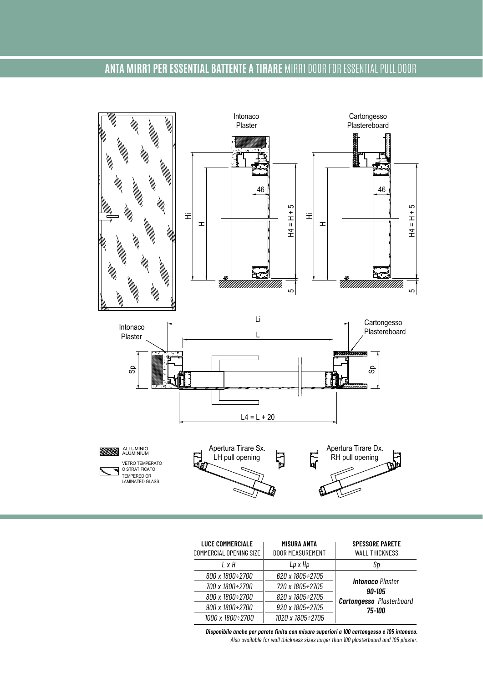## **ANTA MIRR1 PER ESSENTIAL BATTENTE A TIRARE** MIRR1 DOOR FOR ESSENTIAL PULL DOOR



| <b>LUCE COMMERCIALE</b><br><b>COMMERCIAL OPENING SIZE</b> | MISURA ANTA<br>DOOR MEASUREMENT | <b>SPESSORE PARETE</b><br><b>WALL THICKNESS</b>                      |
|-----------------------------------------------------------|---------------------------------|----------------------------------------------------------------------|
| $1 \times H$                                              | Lp x Hp                         | Sp                                                                   |
| 600 x 1800÷2700                                           | 620 x 1805÷2705                 |                                                                      |
| 700 x 1800÷2700                                           | 720 x 1805÷2705                 | <b>Intonaco</b> Plaster<br>90-105<br><b>Cartongesso</b> Plasterboard |
| 800 x 1800÷2700                                           | 820 x 1805÷2705                 |                                                                      |
| 900 x 1800÷2700                                           | 920 x 1805÷2705                 | 75-100                                                               |
| 1000 x 1800÷2700                                          | 1020 x 1805÷2705                |                                                                      |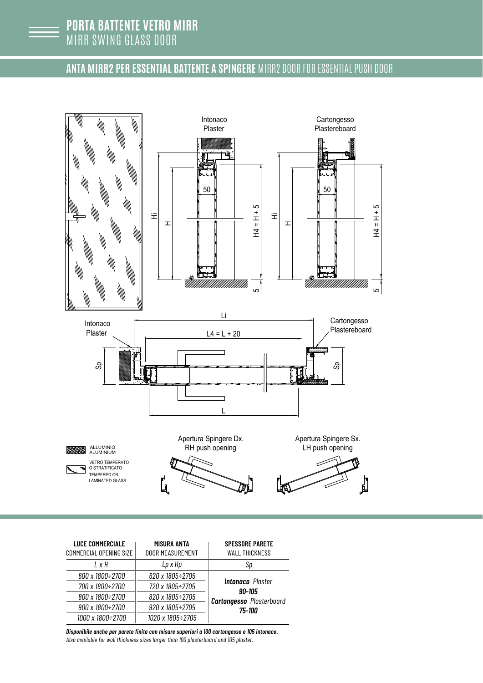## **ANTA MIRR2 PER ESSENTIAL BATTENTE A SPINGERE** MIRR2 DOOR FOR ESSENTIAL PUSH DOOR



| <b>LUCE COMMERCIALE</b> | MISURA ANTA                 | <b>SPESSORE PARETE</b>                                                         |
|-------------------------|-----------------------------|--------------------------------------------------------------------------------|
| COMMERCIAL OPENING SIZE | <b>DOOR MEASUREMENT</b>     | <b>WALL THICKNESS</b>                                                          |
| $1 \times H$            | Lp x Hp                     | Sp                                                                             |
| 600 x 1800÷2700         | 620 x 1805÷2705             |                                                                                |
| 700 x 1800÷2700         | 720 x 1805÷2705             | <b>Intonaco</b> Plaster<br>90-105<br><b>Cartongesso</b> Plasterboard<br>75-100 |
| 800 x 1800÷2700         | 820 x 1805÷2705             |                                                                                |
| 900 x 1800÷2700         | $920 \times 1805 \div 2705$ |                                                                                |
| 1000 x 1800÷2700        | 1020 x 1805÷2705            |                                                                                |